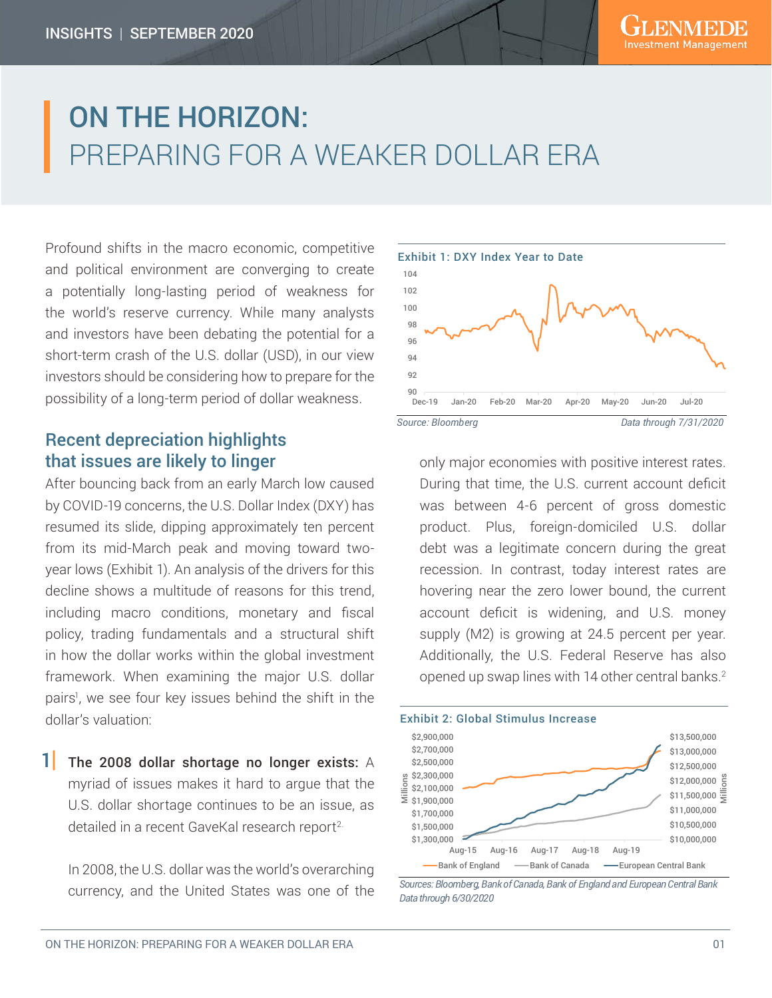# ON THE HORIZON: PREPARING FOR A WEAKER DOLLAR ERA

Profound shifts in the macro economic, competitive and political environment are converging to create a potentially long-lasting period of weakness for the world's reserve currency. While many analysts and investors have been debating the potential for a short-term crash of the U.S. dollar (USD), in our view investors should be considering how to prepare for the possibility of a long-term period of dollar weakness.

## Recent depreciation highlights that issues are likely to linger

After bouncing back from an early March low caused by COVID-19 concerns, the U.S. Dollar Index (DXY) has resumed its slide, dipping approximately ten percent from its mid-March peak and moving toward twoyear lows (Exhibit 1). An analysis of the drivers for this decline shows a multitude of reasons for this trend, including macro conditions, monetary and fiscal policy, trading fundamentals and a structural shift in how the dollar works within the global investment framework. When examining the major U.S. dollar pairs<sup>1</sup>, we see four key issues behind the shift in the dollar's valuation:

 $1$  The 2008 dollar shortage no longer exists: A myriad of issues makes it hard to argue that the U.S. dollar shortage continues to be an issue, as detailed in a recent GaveKal research report<sup>2.</sup>

In 2008, the U.S. dollar was the world's overarching currency, and the United States was one of the



only major economies with positive interest rates. During that time, the U.S. current account deficit was between 4-6 percent of gross domestic product. Plus, foreign-domiciled U.S. dollar debt was a legitimate concern during the great recession. In contrast, today interest rates are hovering near the zero lower bound, the current account deficit is widening, and U.S. money supply (M2) is growing at 24.5 percent per year. Additionally, the U.S. Federal Reserve has also opened up swap lines with 14 other central banks.2



*Sources: Bloomberg, Bank of Canada, Bank of England and European Central Bank Data through 6/30/2020*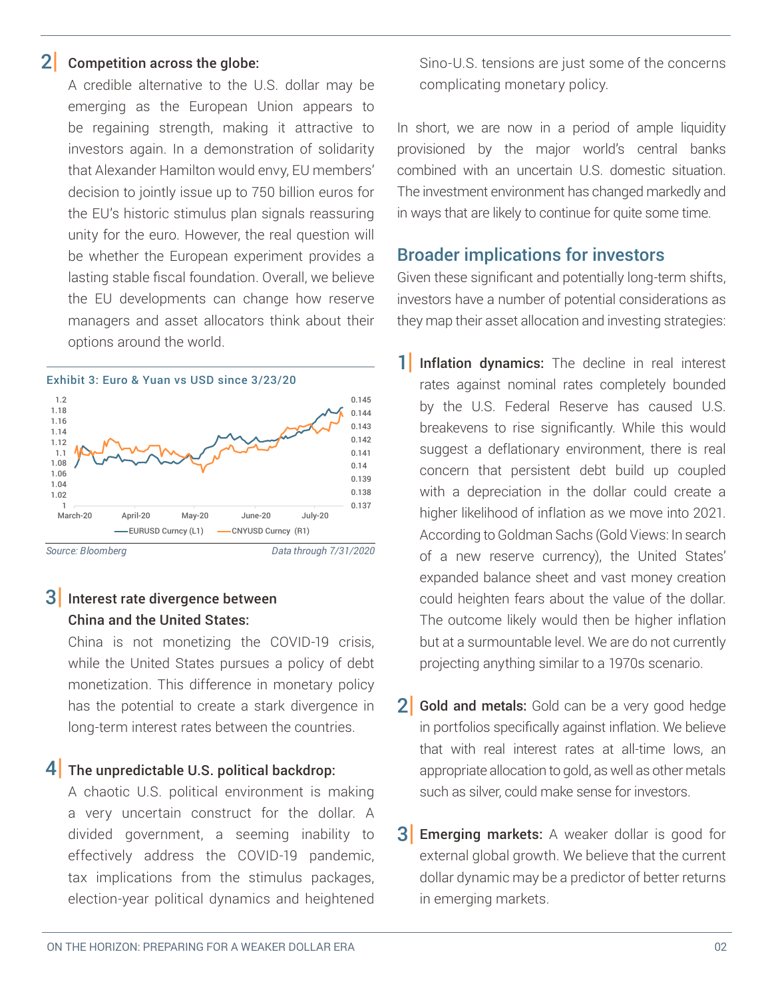#### Competition across the globe: 2|

A credible alternative to the U.S. dollar may be emerging as the European Union appears to be regaining strength, making it attractive to investors again. In a demonstration of solidarity that Alexander Hamilton would envy, EU members' decision to jointly issue up to 750 billion euros for the EU's historic stimulus plan signals reassuring unity for the euro. However, the real question will be whether the European experiment provides a lasting stable fiscal foundation. Overall, we believe the EU developments can change how reserve managers and asset allocators think about their options around the world.



# $3|$  Interest rate divergence between China and the United States:

China is not monetizing the COVID-19 crisis, while the United States pursues a policy of debt monetization. This difference in monetary policy has the potential to create a stark divergence in long-term interest rates between the countries.

# $4\vert$  The unpredictable U.S. political backdrop:

A chaotic U.S. political environment is making a very uncertain construct for the dollar. A divided government, a seeming inability to effectively address the COVID-19 pandemic, tax implications from the stimulus packages, election-year political dynamics and heightened

Sino-U.S. tensions are just some of the concerns complicating monetary policy.

In short, we are now in a period of ample liquidity provisioned by the major world's central banks combined with an uncertain U.S. domestic situation. The investment environment has changed markedly and in ways that are likely to continue for quite some time.

## Broader implications for investors

Given these significant and potentially long-term shifts, investors have a number of potential considerations as they map their asset allocation and investing strategies:

- 1 Inflation dynamics: The decline in real interest rates against nominal rates completely bounded by the U.S. Federal Reserve has caused U.S. breakevens to rise significantly. While this would suggest a deflationary environment, there is real concern that persistent debt build up coupled with a depreciation in the dollar could create a higher likelihood of inflation as we move into 2021. According to Goldman Sachs (Gold Views: In search of a new reserve currency), the United States' expanded balance sheet and vast money creation could heighten fears about the value of the dollar. The outcome likely would then be higher inflation but at a surmountable level. We are do not currently projecting anything similar to a 1970s scenario.
- $2|$  Gold and metals: Gold can be a very good hedge in portfolios specifically against inflation. We believe that with real interest rates at all-time lows, an appropriate allocation to gold, as well as other metals such as silver, could make sense for investors.
- Emerging markets: A weaker dollar is good for external global growth. We believe that the current dollar dynamic may be a predictor of better returns in emerging markets. 3|